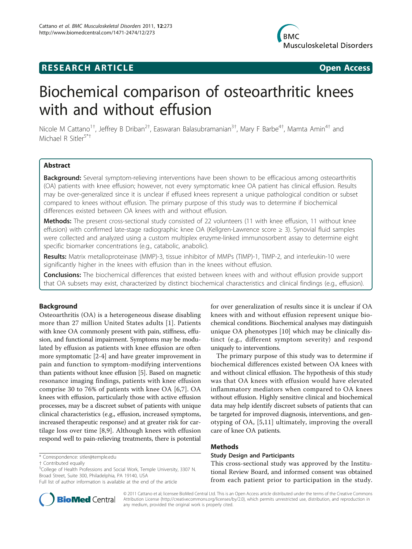## **RESEARCH ARTICLE Example 2018 Open Access**



# Biochemical comparison of osteoarthritic knees with and without effusion

Nicole M Cattano<sup>1†</sup>, Jeffrey B Driban<sup>2†</sup>, Easwaran Balasubramanian<sup>3†</sup>, Mary F Barbe<sup>4†</sup>, Mamta Amin<sup>4†</sup> and Michael R Sitler<sup>5\*†</sup>

## Abstract

Background: Several symptom-relieving interventions have been shown to be efficacious among osteoarthritis (OA) patients with knee effusion; however, not every symptomatic knee OA patient has clinical effusion. Results may be over-generalized since it is unclear if effused knees represent a unique pathological condition or subset compared to knees without effusion. The primary purpose of this study was to determine if biochemical differences existed between OA knees with and without effusion.

Methods: The present cross-sectional study consisted of 22 volunteers (11 with knee effusion, 11 without knee effusion) with confirmed late-stage radiographic knee OA (Kellgren-Lawrence score ≥ 3). Synovial fluid samples were collected and analyzed using a custom multiplex enzyme-linked immunosorbent assay to determine eight specific biomarker concentrations (e.g., catabolic, anabolic).

Results: Matrix metalloproteinase (MMP)-3, tissue inhibitor of MMPs (TIMP)-1, TIMP-2, and interleukin-10 were significantly higher in the knees with effusion than in the knees without effusion.

**Conclusions:** The biochemical differences that existed between knees with and without effusion provide support that OA subsets may exist, characterized by distinct biochemical characteristics and clinical findings (e.g., effusion).

## Background

Osteoarthritis (OA) is a heterogeneous disease disabling more than 27 million United States adults [[1\]](#page-5-0). Patients with knee OA commonly present with pain, stiffness, effusion, and functional impairment. Symptoms may be modulated by effusion as patients with knee effusion are often more symptomatic [[2-4\]](#page-5-0) and have greater improvement in pain and function to symptom-modifying interventions than patients without knee effusion [[5\]](#page-5-0). Based on magnetic resonance imaging findings, patients with knee effusion comprise 30 to 76% of patients with knee OA [[6,7](#page-5-0)]. OA knees with effusion, particularly those with active effusion processes, may be a discreet subset of patients with unique clinical characteristics (e.g., effusion, increased symptoms, increased therapeutic response) and at greater risk for cartilage loss over time [[8,9](#page-5-0)]. Although knees with effusion respond well to pain-relieving treatments, there is potential

\* Correspondence: [sitler@temple.edu](mailto:sitler@temple.edu)

Full list of author information is available at the end of the article



for over generalization of results since it is unclear if OA knees with and without effusion represent unique biochemical conditions. Biochemical analyses may distinguish unique OA phenotypes [\[10](#page-5-0)] which may be clinically distinct (e.g., different symptom severity) and respond uniquely to interventions.

The primary purpose of this study was to determine if biochemical differences existed between OA knees with and without clinical effusion. The hypothesis of this study was that OA knees with effusion would have elevated inflammatory mediators when compared to OA knees without effusion. Highly sensitive clinical and biochemical data may help identify discreet subsets of patients that can be targeted for improved diagnosis, interventions, and genotyping of OA, [[5,11\]](#page-5-0) ultimately, improving the overall care of knee OA patients.

## Methods

#### Study Design and Participants

This cross-sectional study was approved by the Institutional Review Board, and informed consent was obtained from each patient prior to participation in the study.

© 2011 Cattano et al; licensee BioMed Central Ltd. This is an Open Access article distributed under the terms of the Creative Commons Attribution License [\(http://creativecommons.org/licenses/by/2.0](http://creativecommons.org/licenses/by/2.0)), which permits unrestricted use, distribution, and reproduction in any medium, provided the original work is properly cited.

<sup>†</sup> Contributed equally <sup>5</sup>

<sup>&</sup>lt;sup>5</sup>College of Health Professions and Social Work, Temple University, 3307 N. Broad Street, Suite 300, Philadelphia, PA 19140, USA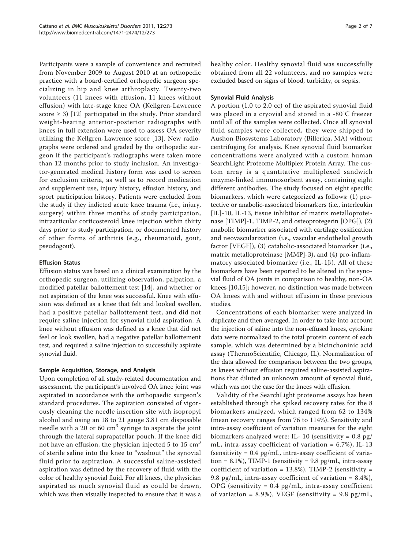Participants were a sample of convenience and recruited from November 2009 to August 2010 at an orthopedic practice with a board-certified orthopedic surgeon specializing in hip and knee arthroplasty. Twenty-two volunteers (11 knees with effusion, 11 knees without effusion) with late-stage knee OA (Kellgren-Lawrence score  $\geq$  3) [[12](#page-5-0)] participated in the study. Prior standard weight-bearing anterior-posterior radiographs with knees in full extension were used to assess OA severity utilizing the Kellgren-Lawrence score [\[13\]](#page-5-0). New radiographs were ordered and graded by the orthopedic surgeon if the participant's radiographs were taken more than 12 months prior to study inclusion. An investigator-generated medical history form was used to screen for exclusion criteria, as well as to record medication and supplement use, injury history, effusion history, and sport participation history. Patients were excluded from the study if they indicted acute knee trauma (i.e., injury, surgery) within three months of study participation, intraarticular corticosteroid knee injection within thirty days prior to study participation, or documented history of other forms of arthritis (e.g., rheumatoid, gout, pseudogout).

## Effusion Status

Effusion status was based on a clinical examination by the orthopedic surgeon, utilizing observation, palpation, a modified patellar ballottement test [[14\]](#page-5-0), and whether or not aspiration of the knee was successful. Knee with effusion was defined as a knee that felt and looked swollen, had a positive patellar ballottement test, and did not require saline injection for synovial fluid aspiration. A knee without effusion was defined as a knee that did not feel or look swollen, had a negative patellar ballottement test, and required a saline injection to successfully aspirate synovial fluid.

## Sample Acquisition, Storage, and Analysis

Upon completion of all study-related documentation and assessment, the participant's involved OA knee joint was aspirated in accordance with the orthopaedic surgeon's standard procedures. The aspiration consisted of vigorously cleaning the needle insertion site with isopropyl alcohol and using an 18 to 21 gauge 3.81 cm disposable needle with a 20 or 60  $\text{cm}^3$  syringe to aspirate the joint through the lateral suprapatellar pouch. If the knee did not have an effusion, the physician injected  $5$  to  $15 \text{ cm}^3$ of sterile saline into the knee to "washout" the synovial fluid prior to aspiration. A successful saline-assisted aspiration was defined by the recovery of fluid with the color of healthy synovial fluid. For all knees, the physician aspirated as much synovial fluid as could be drawn, which was then visually inspected to ensure that it was a healthy color. Healthy synovial fluid was successfully obtained from all 22 volunteers, and no samples were excluded based on signs of blood, turbidity, or sepsis.

## Synovial Fluid Analysis

A portion (1.0 to 2.0 cc) of the aspirated synovial fluid was placed in a cryovial and stored in a -80°C freezer until all of the samples were collected. Once all synovial fluid samples were collected, they were shipped to Aushon Biosystems Laboratory (Billerica, MA) without centrifuging for analysis. Knee synovial fluid biomarker concentrations were analyzed with a custom human SearchLight Proteome Multiplex Protein Array. The custom array is a quantitative multiplexed sandwich enzyme-linked immunosorbent assay, containing eight different antibodies. The study focused on eight specific biomarkers, which were categorized as follows: (1) protective or anabolic-associated biomarkers (i.e., interleukin [IL]-10, IL-13, tissue inhibitor of matrix metalloproteinase [TIMP]-1, TIMP-2, and osteoprotegerin [OPG]), (2) anabolic biomarker associated with cartilage ossification and neovascularization (i.e., vascular endothelial growth factor [VEGF]), (3) catabolic-associated biomarker (i.e., matrix metalloproteinase [MMP]-3), and (4) pro-inflammatory associated biomarker (i.e., IL-1 $\beta$ ). All of these biomarkers have been reported to be altered in the synovial fluid of OA joints in comparison to healthy, non-OA knees [[10](#page-5-0),[15](#page-5-0)]; however, no distinction was made between OA knees with and without effusion in these previous studies.

Concentrations of each biomarker were analyzed in duplicate and then averaged. In order to take into account the injection of saline into the non-effused knees, cytokine data were normalized to the total protein content of each sample, which was determined by a bicinchoninic acid assay (ThermoScientific, Chicago, IL). Normalization of the data allowed for comparison between the two groups, as knees without effusion required saline-assisted aspirations that diluted an unknown amount of synovial fluid, which was not the case for the knees with effusion.

Validity of the SearchLight proteome assays has been established through the spiked recovery rates for the 8 biomarkers analyzed, which ranged from 62 to 134% (mean recovery ranges from 76 to 114%). Sensitivity and intra-assay coefficient of variation measures for the eight biomarkers analyzed were: IL- 10 (sensitivity = 0.8 pg/ mL, intra-assay coefficient of variation = 6.7%), IL-13  $(sensitivity = 0.4 pg/mL, intra-assay coefficient of varia$ tion = 8.1%), TIMP-1 (sensitivity =  $9.8 \text{ pg/mL}$ , intra-assay coefficient of variation =  $13.8\%$ ), TIMP-2 (sensitivity = 9.8 pg/mL, intra-assay coefficient of variation =  $8.4\%$ ),  $OPG$  (sensitivity = 0.4 pg/mL, intra-assay coefficient of variation = 8.9%), VEGF (sensitivity = 9.8 pg/mL,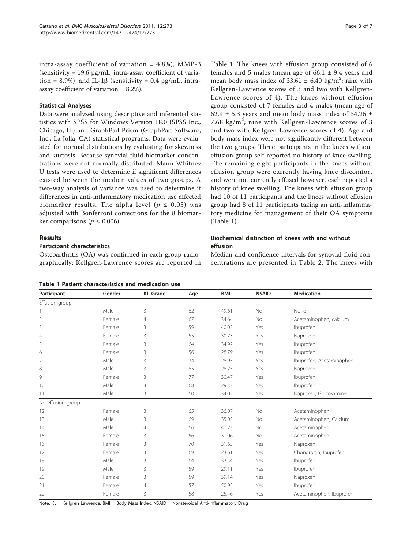intra-assay coefficient of variation  $= 4.8\%$ ), MMP-3  $(sensitivity = 19.6 pg/mL, intra-assay coefficient of varia$ tion = 8.9%), and IL-1 $\beta$  (sensitivity = 0.4 pg/mL, intraassay coefficient of variation = 8.2%).

#### Statistical Analyses

Data were analyzed using descriptive and inferential statistics with SPSS for Windows Version 18.0 (SPSS Inc., Chicago, IL) and GraphPad Prism (GraphPad Software, Inc., La Jolla, CA) statistical programs. Data were evaluated for normal distributions by evaluating for skewness and kurtosis. Because synovial fluid biomarker concentrations were not normally distributed, Mann Whitney U tests were used to determine if significant differences existed between the median values of two groups. A two-way analysis of variance was used to determine if differences in anti-inflammatory medication use affected biomarker results. The alpha level ( $p \leq 0.05$ ) was adjusted with Bonferroni corrections for the 8 biomarker comparisons ( $p \leq 0.006$ ).

## Results

#### Participant characteristics

Osteoarthritis (OA) was confirmed in each group radiographically; Kellgren-Lawrence scores are reported in

|  |  |  | Table 1 Patient characteristics and medication use |  |  |  |
|--|--|--|----------------------------------------------------|--|--|--|
|--|--|--|----------------------------------------------------|--|--|--|

Table 1. The knees with effusion group consisted of 6 females and 5 males (mean age of  $66.1 \pm 9.4$  years and mean body mass index of  $33.61 \pm 6.40$  kg/m<sup>2</sup>; nine with Kellgren-Lawrence scores of 3 and two with Kellgren-Lawrence scores of 4). The knees without effusion group consisted of 7 females and 4 males (mean age of 62.9  $\pm$  5.3 years and mean body mass index of 34.26  $\pm$ 7.68  $\text{kg/m}^2$ ; nine with Kellgren-Lawrence scores of 3 and two with Kellgren-Lawrence scores of 4). Age and body mass index were not significantly different between the two groups. Three participants in the knees without effusion group self-reported no history of knee swelling. The remaining eight participants in the knees without effusion group were currently having knee discomfort and were not currently effused however, each reported a history of knee swelling. The knees with effusion group had 10 of 11 participants and the knees without effusion group had 8 of 11 participants taking an anti-inflammatory medicine for management of their OA symptoms (Table 1).

## Biochemical distinction of knees with and without effusion

Median and confidence intervals for synovial fluid concentrations are presented in Table [2](#page-3-0). The knees with

| Participant       | Gender | <b>KL</b> Grade | Age | <b>BMI</b> | <b>NSAID</b> | <b>Medication</b>        |  |
|-------------------|--------|-----------------|-----|------------|--------------|--------------------------|--|
| Effusion group    |        |                 |     |            |              |                          |  |
|                   | Male   | 3               | 62  | 49.61      | <b>No</b>    | None                     |  |
| $\overline{2}$    | Female | $\overline{4}$  | 67  | 34.64      | <b>No</b>    | Acetaminophen, calcium   |  |
| 3                 | Female | 3               | 59  | 40.02      | Yes          | Ibuprofen                |  |
| 4                 | Female | 3               | 55  | 30.73      | Yes          | Naproxen                 |  |
| 5                 | Female | 3               | 64  | 34.92      | Yes          | Ibuprofen                |  |
| 6                 | Female | 3               | 56  | 28.79      | Yes          | Ibuprofen                |  |
| 7                 | Male   | 3               | 74  | 28.95      | Yes          | Ibuprofen, Acetaminophen |  |
| 8                 | Male   | 3               | 85  | 28.25      | Yes          | Naproxen                 |  |
| 9                 | Female | 3               | 77  | 30.47      | Yes          | Ibuprofen                |  |
| 10                | Male   | $\overline{4}$  | 68  | 29.33      | Yes          | Ibuprofen                |  |
| 11                | Male   | 3               | 60  | 34.02      | Yes          | Naproxen, Glucosamine    |  |
| No effusion group |        |                 |     |            |              |                          |  |
| 12                | Female | 3               | 65  | 36.07      | No           | Acetaminophen            |  |
| 13                | Male   | 3               | 69  | 35.05      | <b>No</b>    | Acetaminophen, Calcium   |  |
| 14                | Male   | $\overline{4}$  | 66  | 41.23      | <b>No</b>    | Acetaminophen            |  |
| 15                | Female | 3               | 56  | 31.06      | <b>No</b>    | Acetaminophen            |  |
| 16                | Female | 3               | 70  | 31.65      | Yes          | Naproxen                 |  |
| 17                | Female | 3               | 69  | 23.61      | Yes          | Chondroitin, Ibuprofen   |  |
| 18                | Male   | 3               | 64  | 33.54      | Yes          | Ibuprofen                |  |
| 19                | Male   | 3               | 59  | 29.11      | Yes          | Ibuprofen                |  |
| 20                | Female | 3               | 59  | 39.14      | Yes          | Naproxen                 |  |
| 21                | Female | $\overline{4}$  | 57  | 50.95      | Yes          | Ibuprofen                |  |
| 22                | Female | 3               | 58  | 25.46      | Yes          | Acetaminophen, Ibuprofen |  |

Note: KL = Kellgren Lawrence, BMI = Body Mass Index, NSAID = Nonsteroidal Anti-inflammatory Drug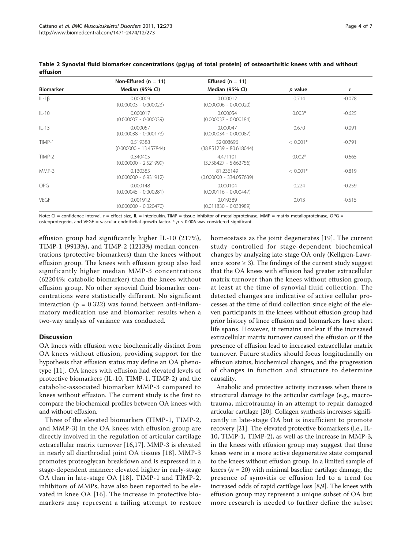|                  | Non-Effused $(n = 11)$               | Effused $(n = 11)$                     |            |          |  |
|------------------|--------------------------------------|----------------------------------------|------------|----------|--|
| <b>Biomarker</b> | Median (95% CI)                      | Median (95% CI)                        | p value    | r        |  |
| $IL-1\beta$      | 0.000009<br>$(0.000003 - 0.000023)$  | 0.000012<br>$(0.000006 - 0.000020)$    | 0.714      | $-0.078$ |  |
| $   -10$         | 0.000017<br>$(0.000007 - 0.000039)$  | 0.000054<br>$(0.000037 - 0.000184)$    | $0.003*$   | $-0.625$ |  |
| $   -13$         | 0.000057<br>$(0.000038 - 0.000173)$  | 0.000047<br>$(0.000034 - 0.000087)$    | 0.670      | $-0.091$ |  |
| TIMP-1           | 0.519388<br>$(0.000000 - 13.457844)$ | 52.008696<br>$(38.851239 - 80.618044)$ | $< 0.001*$ | $-0.791$ |  |
| TIMP-2           | 0.340405<br>$(0.000000 - 2.521999)$  | 4.471101<br>$(3.758427 - 5.662756)$    | $0.002*$   | $-0.665$ |  |
| MMP-3            | 0.130385<br>$(0.000000 - 6.931912)$  | 81.236149<br>$(0.000000 - 334.057639)$ | $< 0.001*$ | $-0.819$ |  |
| <b>OPG</b>       | 0.000148<br>$(0.000045 - 0.000281)$  | 0.000104<br>$(0.000116 - 0.000447)$    | 0.224      | $-0.259$ |  |
| <b>VEGF</b>      | 0.001912<br>$(0.000000 - 0.020470)$  | 0.019389<br>$(0.011830 - 0.033989)$    | 0.013      | $-0.515$ |  |

<span id="page-3-0"></span>Table 2 Synovial fluid biomarker concentrations (pg/μg of total protein) of osteoarthritic knees with and without effusion

Note: CI = confidence interval, r = effect size, IL = interleukin, TIMP = tissue inhibitor of metalloproteinase, MMP = matrix metalloproteinase, OPG = osteoprotegerin, and VEGF = vascular endothelial growth factor. \*  $p \le 0.006$  was considered significant.

effusion group had significantly higher IL-10 (217%), TIMP-1 (9913%), and TIMP-2 (1213%) median concentrations (protective biomarkers) than the knees without effusion group. The knees with effusion group also had significantly higher median MMP-3 concentrations (62204%; catabolic biomarker) than the knees without effusion group. No other synovial fluid biomarker concentrations were statistically different. No significant interaction ( $p = 0.322$ ) was found between anti-inflammatory medication use and biomarker results when a two-way analysis of variance was conducted.

## Discussion

OA knees with effusion were biochemically distinct from OA knees without effusion, providing support for the hypothesis that effusion status may define an OA phenotype [[11\]](#page-5-0). OA knees with effusion had elevated levels of protective biomarkers (IL-10, TIMP-1, TIMP-2) and the catabolic-associated biomarker MMP-3 compared to knees without effusion. The current study is the first to compare the biochemical profiles between OA knees with and without effusion.

Three of the elevated biomarkers (TIMP-1, TIMP-2, and MMP-3) in the OA knees with effusion group are directly involved in the regulation of articular cartilage extracellular matrix turnover [\[16,17](#page-5-0)]. MMP-3 is elevated in nearly all diarthrodial joint OA tissues [[18\]](#page-5-0). MMP-3 promotes proteoglycan breakdown and is expressed in a stage-dependent manner: elevated higher in early-stage OA than in late-stage OA [[18](#page-5-0)]. TIMP-1 and TIMP-2, inhibitors of MMPs, have also been reported to be elevated in knee OA [[16](#page-5-0)]. The increase in protective biomarkers may represent a failing attempt to restore homeostasis as the joint degenerates [[19](#page-5-0)]. The current study controlled for stage-dependent biochemical changes by analyzing late-stage OA only (Kellgren-Lawrence score  $\geq$  3). The findings of the current study suggest that the OA knees with effusion had greater extracellular matrix turnover than the knees without effusion group, at least at the time of synovial fluid collection. The detected changes are indicative of active cellular processes at the time of fluid collection since eight of the eleven participants in the knees without effusion group had prior history of knee effusion and biomarkers have short life spans. However, it remains unclear if the increased extracellular matrix turnover caused the effusion or if the presence of effusion lead to increased extracellular matrix turnover. Future studies should focus longitudinally on effusion status, biochemical changes, and the progression of changes in function and structure to determine causality.

Anabolic and protective activity increases when there is structural damage to the articular cartilage (e.g., macrotrauma, microtrauma) in an attempt to repair damaged articular cartilage [[20](#page-5-0)]. Collagen synthesis increases significantly in late-stage OA but is insufficient to promote recovery [[21](#page-5-0)]. The elevated protective biomarkers (i.e., IL-10, TIMP-1, TIMP-2), as well as the increase in MMP-3, in the knees with effusion group may suggest that these knees were in a more active degenerative state compared to the knees without effusion group. In a limited sample of knees ( $n = 20$ ) with minimal baseline cartilage damage, the presence of synovitis or effusion led to a trend for increased odds of rapid cartilage loss [\[8,9](#page-5-0)]. The knees with effusion group may represent a unique subset of OA but more research is needed to further define the subset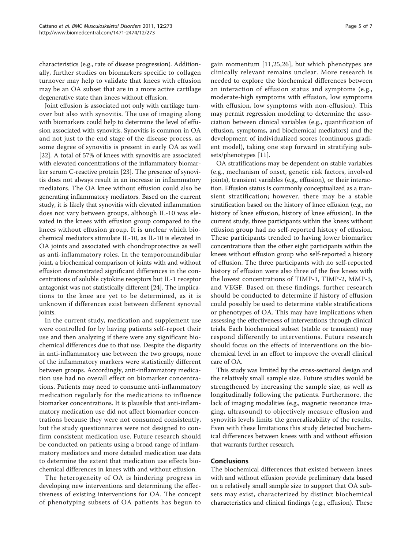characteristics (e.g., rate of disease progression). Additionally, further studies on biomarkers specific to collagen turnover may help to validate that knees with effusion may be an OA subset that are in a more active cartilage degenerative state than knees without effusion.

Joint effusion is associated not only with cartilage turnover but also with synovitis. The use of imaging along with biomarkers could help to determine the level of effusion associated with synovitis. Synovitis is common in OA and not just to the end stage of the disease process, as some degree of synovitis is present in early OA as well [[22\]](#page-5-0). A total of 57% of knees with synovitis are associated with elevated concentrations of the inflammatory biomarker serum C-reactive protein [[23](#page-5-0)]. The presence of synovitis does not always result in an increase in inflammatory mediators. The OA knee without effusion could also be generating inflammatory mediators. Based on the current study, it is likely that synovitis with elevated inflammation does not vary between groups, although IL-10 was elevated in the knees with effusion group compared to the knees without effusion group. It is unclear which biochemical mediators stimulate IL-10, as IL-10 is elevated in OA joints and associated with chondroprotective as well as anti-inflammatory roles. In the temporomandibular joint, a biochemical comparison of joints with and without effusion demonstrated significant differences in the concentrations of soluble cytokine receptors but IL-1 receptor antagonist was not statistically different [\[24\]](#page-5-0). The implications to the knee are yet to be determined, as it is unknown if differences exist between different synovial joints.

In the current study, medication and supplement use were controlled for by having patients self-report their use and then analyzing if there were any significant biochemical differences due to that use. Despite the disparity in anti-inflammatory use between the two groups, none of the inflammatory markers were statistically different between groups. Accordingly, anti-inflammatory medication use had no overall effect on biomarker concentrations. Patients may need to consume anti-inflammatory medication regularly for the medications to influence biomarker concentrations. It is plausible that anti-inflammatory medication use did not affect biomarker concentrations because they were not consumed consistently, but the study questionnaires were not designed to confirm consistent medication use. Future research should be conducted on patients using a broad range of inflammatory mediators and more detailed medication use data to determine the extent that medication use effects biochemical differences in knees with and without effusion.

The heterogeneity of OA is hindering progress in developing new interventions and determining the effectiveness of existing interventions for OA. The concept of phenotyping subsets of OA patients has begun to gain momentum [[11,25](#page-5-0),[26\]](#page-6-0), but which phenotypes are clinically relevant remains unclear. More research is needed to explore the biochemical differences between an interaction of effusion status and symptoms (e.g., moderate-high symptoms with effusion, low symptoms with effusion, low symptoms with non-effusion). This may permit regression modeling to determine the association between clinical variables (e.g., quantification of effusion, symptoms, and biochemical mediators) and the development of individualized scores (continuous gradient model), taking one step forward in stratifying subsets/phenotypes [[11\]](#page-5-0).

OA stratifications may be dependent on stable variables (e.g., mechanism of onset, genetic risk factors, involved joints), transient variables (e.g., effusion), or their interaction. Effusion status is commonly conceptualized as a transient stratification; however, there may be a stable stratification based on the history of knee effusion (e.g., no history of knee effusion, history of knee effusion). In the current study, three participants within the knees without effusion group had no self-reported history of effusion. These participants trended to having lower biomarker concentrations than the other eight participants within the knees without effusion group who self-reported a history of effusion. The three participants with no self-reported history of effusion were also three of the five knees with the lowest concentrations of TIMP-1, TIMP-2, MMP-3, and VEGF. Based on these findings, further research should be conducted to determine if history of effusion could possibly be used to determine stable stratifications or phenotypes of OA. This may have implications when assessing the effectiveness of interventions through clinical trials. Each biochemical subset (stable or transient) may respond differently to interventions. Future research should focus on the effects of interventions on the biochemical level in an effort to improve the overall clinical care of OA.

This study was limited by the cross-sectional design and the relatively small sample size. Future studies would be strengthened by increasing the sample size, as well as longitudinally following the patients. Furthermore, the lack of imaging modalities (e.g., magnetic resonance imaging, ultrasound) to objectively measure effusion and synovitis levels limits the generalizability of the results. Even with these limitations this study detected biochemical differences between knees with and without effusion that warrants further research.

## Conclusions

The biochemical differences that existed between knees with and without effusion provide preliminary data based on a relatively small sample size to support that OA subsets may exist, characterized by distinct biochemical characteristics and clinical findings (e.g., effusion). These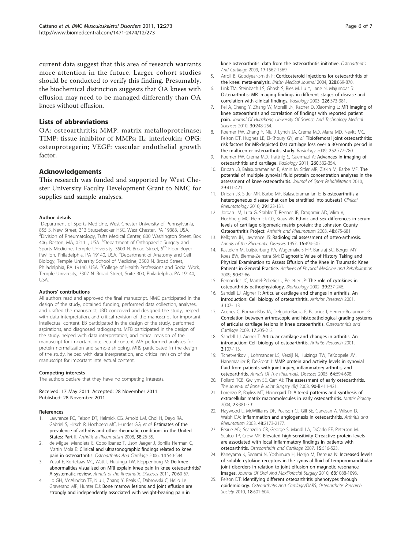<span id="page-5-0"></span>current data suggest that this area of research warrants more attention in the future. Larger cohort studies should be conducted to verify this finding. Presumably, the biochemical distinction suggests that OA knees with effusion may need to be managed differently than OA knees without effusion.

## Lists of abbreviations

OA: osteoarthritis; MMP: matrix metalloproteinase; TIMP: tissue inhibitor of MMPs; IL: interleukin; OPG: osteoprotegerin; VEGF: vascular endothelial growth factor.

## Acknowledgements

This research was funded and supported by West Chester University Faculty Development Grant to NMC for supplies and sample analyses.

#### Author details

<sup>1</sup>Department of Sports Medicine, West Chester University of Pennsylvania, 855 S. New Street, 313 Sturzebecker HSC, West Chester, PA 19383, USA. 2 Division of Rheumatology, Tufts Medical Center, 800 Washington Street, Box 406, Boston, MA, 02111, USA. <sup>3</sup>Department of Orthopaedic Surgery and Sports Medicine, Temple University, 3509 N. Broad Street, 5<sup>th</sup> Floor Boyer Pavilion, Philadelphia, PA 19140, USA. <sup>4</sup>Department of Anatomy and Cell Biology, Temple University School of Medicine, 3500 N. Broad Street, Philadelphia, PA 19140, USA. <sup>5</sup>College of Health Professions and Social Work, Temple University, 3307 N. Broad Street, Suite 300, Philadelphia, PA 19140, USA.

#### Authors' contributions

All authors read and approved the final manuscript. NMC participated in the design of the study, obtained funding, performed data collection, analyses, and drafted the manuscript. JBD conceived and designed the study, helped with data interpretation, and critical revision of the manuscript for important intellectual content. EB participated in the design of the study, performed aspirations, and diagnosed radiographs. MFB participated in the design of the study, helped with data interpretation, and critical revision of the manuscript for important intellectual content. MA performed analyses for protein normalization and sample shipping. MRS participated in the design of the study, helped with data interpretation, and critical revision of the manuscript for important intellectual content.

#### Competing interests

The authors declare that they have no competing interests.

Received: 17 May 2011 Accepted: 28 November 2011 Published: 28 November 2011

#### References

- 1. Lawrence RC, Felson DT, Helmick CG, Arnold LM, Choi H, Deyo RA, Gabriel S, Hirsch R, Hochberg MC, Hunder GG, et al: [Estimates of the](http://www.ncbi.nlm.nih.gov/pubmed/22128080?dopt=Abstract) [prevalence of arthritis and other rheumatic conditions in the United](http://www.ncbi.nlm.nih.gov/pubmed/22128080?dopt=Abstract) [States: Part II.](http://www.ncbi.nlm.nih.gov/pubmed/22128080?dopt=Abstract) Arthritis & Rheumatism 2008, 58:26-35.
- 2. de Miguel Mendieta E, Cobo Ibanez T, Uson Jaeger J, Bonilla Herman G, Martin Mola E: [Clinical and ultrasonographic findings related to knee](http://www.ncbi.nlm.nih.gov/pubmed/16735196?dopt=Abstract) [pain in osteoarthritis.](http://www.ncbi.nlm.nih.gov/pubmed/16735196?dopt=Abstract) Osteoarthritis And Cartilage 2006, 14:540-544.
- 3. Yusuf E, Kortekaas MC, Watt I, Huizinga TW, Kloppenburg M: [Do knee](http://www.ncbi.nlm.nih.gov/pubmed/20829200?dopt=Abstract) [abnormalities visualised on MRI explain knee pain in knee osteoarthritis?](http://www.ncbi.nlm.nih.gov/pubmed/20829200?dopt=Abstract) [A systematic review.](http://www.ncbi.nlm.nih.gov/pubmed/20829200?dopt=Abstract) Annals of the Rheumatic Diseases 2011, 70:60-67.
- 4. Lo GH, McAlindon TE, Niu J, Zhang Y, Beals C, Dabrowski C, Helio Le Graverand MP, Hunter DJ: [Bone marrow lesions and joint effusion are](http://www.ncbi.nlm.nih.gov/pubmed/19583959?dopt=Abstract) [strongly and independently associated with weight-bearing pain in](http://www.ncbi.nlm.nih.gov/pubmed/19583959?dopt=Abstract)

[knee osteoarthritis: data from the osteoarthritis initiative.](http://www.ncbi.nlm.nih.gov/pubmed/19583959?dopt=Abstract) Osteoarthritis And Cartilage 2009, 17:1562-1569.

- 5. Arroll B, Goodyear-Smith F: [Corticosteroid injections for osteoarthritis of](http://www.ncbi.nlm.nih.gov/pubmed/15039276?dopt=Abstract) [the knee: meta-analysis.](http://www.ncbi.nlm.nih.gov/pubmed/15039276?dopt=Abstract) British Medical Journal 2004, 328:869-870.
- 6. Link TM, Steinbach LS, Ghosh S, Ries M, Lu Y, Lane N, Majumdar S: [Osteoarthritis: MR imaging findings in different stages of disease and](http://www.ncbi.nlm.nih.gov/pubmed/12563128?dopt=Abstract) [correlation with clinical findings.](http://www.ncbi.nlm.nih.gov/pubmed/12563128?dopt=Abstract) Radiology 2003, 226:373-381.
- 7. Fei A, Cheng Y, Zhang W, Morelli JN, Kacher D, Xiaoming L: MR imaging of knee osteoarthritis and correlation of findings with reported patient pain. Journal Of Huazhong University Of Science And Technology Medical Sciences 2010, 30:248-254.
- 8. Roemer FW, Zhang Y, Niu J, Lynch JA, Crema MD, Marra MD, Nevitt MC, Felson DT, Hughes LB, El-Khoury GY, et al: [Tibiofemoral joint osteoarthritis:](http://www.ncbi.nlm.nih.gov/pubmed/19635831?dopt=Abstract) [risk factors for MR-depicted fast cartilage loss over a 30-month period in](http://www.ncbi.nlm.nih.gov/pubmed/19635831?dopt=Abstract) [the multicenter osteoarthritis study.](http://www.ncbi.nlm.nih.gov/pubmed/19635831?dopt=Abstract) Radiology 2009, 252:772-780.
- 9. Roemer FW, Crema MD, Trattnig S, Guermazi A: [Advances in imaging of](http://www.ncbi.nlm.nih.gov/pubmed/21778451?dopt=Abstract) [osteoarthritis and cartilage.](http://www.ncbi.nlm.nih.gov/pubmed/21778451?dopt=Abstract) Radiology 2011, 260:332-354.
- 10. Driban JB, Balasubramanian E, Amin M, Sitler MR, Ziskin M, Barbe MF: The potential of multiple synovial fluid protein concentration analyses in the assessment of knee osteoarthritis. Journal of Sport Rehabilitation 2010. 29:411-421.
- 11. Driban JB, Sitler MR, Barbe MF, Balasubramanian E: [Is osteoarthritis a](http://www.ncbi.nlm.nih.gov/pubmed/19924499?dopt=Abstract) [heterogeneous disease that can be stratified into subsets?](http://www.ncbi.nlm.nih.gov/pubmed/19924499?dopt=Abstract) Clinical Rheumatology 2010, 29:123-131.
- 12. Jordan JM, Luta G, Stabler T, Renner JB, Dragomir AD, Vilim V, Hochberg MC, Helmick CG, Kraus VB: [Ethnic and sex differences in serum](http://www.ncbi.nlm.nih.gov/pubmed/12632420?dopt=Abstract) [levels of cartilage oligomeric matrix protein: the Johnston County](http://www.ncbi.nlm.nih.gov/pubmed/12632420?dopt=Abstract) [Osteoarthritis Project.](http://www.ncbi.nlm.nih.gov/pubmed/12632420?dopt=Abstract) Arthritis and Rheumatism 2003, 48:675-681.
- 13. Kellgren JH, Lawrence JS: [Radiological assessment of osteo-arthrosis.](http://www.ncbi.nlm.nih.gov/pubmed/13498604?dopt=Abstract) Annals of the Rheumatic Diseases 1957, 16:494-502.
- 14. Kastelein M, Luijsterburg PA, Wagemakers HP, Bansraj SC, Berger MY, Koes BW, Bierma-Zeinstra SM: [Diagnostic Value of History Taking and](http://www.ncbi.nlm.nih.gov/pubmed/19154833?dopt=Abstract) [Physical Examination to Assess Effusion of the Knee in Traumatic Knee](http://www.ncbi.nlm.nih.gov/pubmed/19154833?dopt=Abstract) [Patients in General Practice.](http://www.ncbi.nlm.nih.gov/pubmed/19154833?dopt=Abstract) Archives of Physical Medicine and Rehabilitation 2009, 90:82-86.
- 15. Fernandes JC, Martel-Pelletier J, Pelletier JP: [The role of cytokines in](http://www.ncbi.nlm.nih.gov/pubmed/12082286?dopt=Abstract) [osteoarthritis pathophysiology.](http://www.ncbi.nlm.nih.gov/pubmed/12082286?dopt=Abstract) Biorheology 2002, 39:237-246.
- 16. Sandell LJ, Aigner T: [Articular cartilage and changes in arthritis. An](http://www.ncbi.nlm.nih.gov/pubmed/11178118?dopt=Abstract) [introduction: Cell biology of osteoarthritis.](http://www.ncbi.nlm.nih.gov/pubmed/11178118?dopt=Abstract) Arthritis Research 2001, 3:107-113.
- 17. Acebes C, Roman-Blas JA, Delgado-Baeza E, Palacios I, Herrero-Beaumont G: [Correlation between arthroscopic and histopathological grading systems](http://www.ncbi.nlm.nih.gov/pubmed/18676161?dopt=Abstract) [of articular cartilage lesions in knee osteoarthritis.](http://www.ncbi.nlm.nih.gov/pubmed/18676161?dopt=Abstract) Osteoarthritis and Cartilage 2009, 17:205-212.
- 18. Sandell LJ, Aigner T: [Articular cartilage and changes in arthritis. An](http://www.ncbi.nlm.nih.gov/pubmed/11178118?dopt=Abstract) [introduction: Cell biology of osteoarthritis.](http://www.ncbi.nlm.nih.gov/pubmed/11178118?dopt=Abstract) Arthritis Research 2001, 3:107-113.
- 19. Tchetverikov I, Lohmander LS, Verzijl N, Huizinga TW, TeKoppele JM, Hanemaaijer R, DeGroot J: [MMP protein and activity levels in synovial](http://www.ncbi.nlm.nih.gov/pubmed/15834054?dopt=Abstract) [fluid from patients with joint injury, inflammatory arthritis, and](http://www.ncbi.nlm.nih.gov/pubmed/15834054?dopt=Abstract) [osteoarthritis.](http://www.ncbi.nlm.nih.gov/pubmed/15834054?dopt=Abstract) Annals Of The Rheumatic Diseases 2005, 64:694-698.
- 20. Pollard TCB, Gwilym SE, Carr AJ: [The assessment of early osteoarthritis.](http://www.ncbi.nlm.nih.gov/pubmed/22123193?dopt=Abstract) The Journal of Bone & Joint Surgery (Br) 2008, 90-B:411-421.
- 21. Lorenzo P, Bayliss MT, Heinegard D: [Altered patterns and synthesis of](http://www.ncbi.nlm.nih.gov/pubmed/15533759?dopt=Abstract) [extracellular matrix macromolecules in early osteoarthritis.](http://www.ncbi.nlm.nih.gov/pubmed/15533759?dopt=Abstract) Matrix Biology 2004, 23:381-391.
- 22. Haywood L, McWilliams DF, Pearson CI, Gill SE, Ganesan A, Wilson D, Walsh DA: [Inflammation and angiogenesis in osteoarthritis.](http://www.ncbi.nlm.nih.gov/pubmed/12905470?dopt=Abstract) Arthritis and Rheumatism 2003, 48:2173-2177.
- 23. Pearle AD, Scanzello CR, George S, Mandl LA, DiCarlo EF, Peterson M, Sculco TP, Crow MK: [Elevated high-sensitivity C-reactive protein levels](http://www.ncbi.nlm.nih.gov/pubmed/17157039?dopt=Abstract) [are associated with local inflammatory findings in patients with](http://www.ncbi.nlm.nih.gov/pubmed/17157039?dopt=Abstract) [osteoarthritis.](http://www.ncbi.nlm.nih.gov/pubmed/17157039?dopt=Abstract) Osteoarthritis and Cartilage 2007, 15:516-523.
- 24. Kaneyama K, Segami N, Yoshimura H, Honjo M, Demura N: [Increased levels](http://www.ncbi.nlm.nih.gov/pubmed/20149511?dopt=Abstract) [of soluble cytokine receptors in the synovial fluid of temporomandibular](http://www.ncbi.nlm.nih.gov/pubmed/20149511?dopt=Abstract) [joint disorders in relation to joint effusion on magnetic resonance](http://www.ncbi.nlm.nih.gov/pubmed/20149511?dopt=Abstract) [images.](http://www.ncbi.nlm.nih.gov/pubmed/20149511?dopt=Abstract) Journal Of Oral And Maxillofacial Surgery 2010, 68:1088-1093.
- 25. Felson DT: [Identifying different osteoarthritis phenotypes through](http://www.ncbi.nlm.nih.gov/pubmed/20175975?dopt=Abstract) [epidemiology.](http://www.ncbi.nlm.nih.gov/pubmed/20175975?dopt=Abstract) Osteoarthritis And Cartilage/OARS, Osteoarthritis Research Society 2010, 18:601-604.